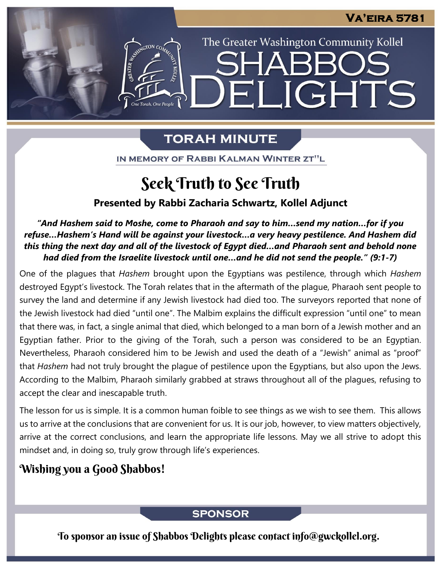The Greater Washington Community Kollel

**JGHTS** 

# **TORAH MINUTE**

H

IN MEMORY OF RABBI KALMAN WINTER ZT"L

# Seek Truth to See Truth

### **Presented by Rabbi Zacharia Schwartz, Kollel Adjunct**

*"And Hashem said to Moshe, come to Pharaoh and say to him…send my nation…for if you refuse…Hashem's Hand will be against your livestock…a very heavy pestilence. And Hashem did this thing the next day and all of the livestock of Egypt died…and Pharaoh sent and behold none had died from the Israelite livestock until one…and he did not send the people." (9:1-7)*

One of the plagues that *Hashem* brought upon the Egyptians was pestilence, through which *Hashem* destroyed Egypt's livestock. The Torah relates that in the aftermath of the plague, Pharaoh sent people to survey the land and determine if any Jewish livestock had died too. The surveyors reported that none of the Jewish livestock had died "until one". The Malbim explains the difficult expression "until one" to mean that there was, in fact, a single animal that died, which belonged to a man born of a Jewish mother and an Egyptian father. Prior to the giving of the Torah, such a person was considered to be an Egyptian. Nevertheless, Pharaoh considered him to be Jewish and used the death of a "Jewish" animal as "proof" that *Hashem* had not truly brought the plague of pestilence upon the Egyptians, but also upon the Jews. According to the Malbim, Pharaoh similarly grabbed at straws throughout all of the plagues, refusing to accept the clear and inescapable truth.

The lesson for us is simple. It is a common human foible to see things as we wish to see them. This allows us to arrive at the conclusions that are convenient for us. It is our job, however, to view matters objectively, arrive at the correct conclusions, and learn the appropriate life lessons. May we all strive to adopt this mindset and, in doing so, truly grow through life's experiences.

## Wishing you a Good Shabbos!

### **SPONSOR**

To sponsor an issue of Shabbos Delights please contact info@gwckollel.org.